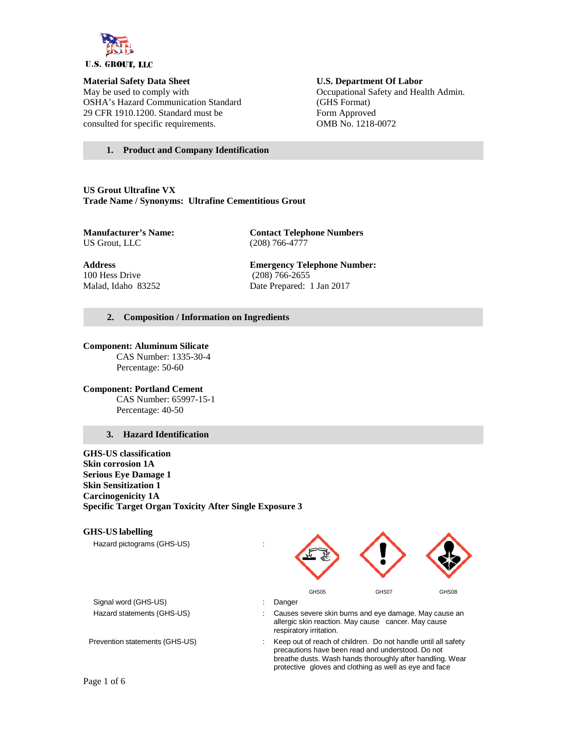

May be used to comply with Occupational Safety and Health Admin. OSHA's Hazard Communication Standard (GHS Format) 29 CFR 1910.1200. Standard must be Form Approved consulted for specific requirements. OMB No. 1218-0072

# **Material Safety Data Sheet U.S. Department Of Labor**

#### **1. Product and Company Identification**

**US Grout Ultrafine VX Trade Name / Synonyms: Ultrafine Cementitious Grout**

**Manufacturer's Name: Contact Telephone Numbers**<br>US Grout, LLC (208) 766-4777 (208) 766-4777

100 Hess Drive (208) 766-2655

**Address Emergency Telephone Number:** Malad, Idaho 83252 Date Prepared: 1 Jan 2017

#### **2. Composition / Information on Ingredients**

### **Component: Aluminum Silicate**

CAS Number: 1335-30-4 Percentage: 50-60

**Component: Portland Cement** CAS Number: 65997-15-1 Percentage: 40-50

#### **3. Hazard Identification**

**GHS-US classification Skin corrosion 1A Serious Eye Damage 1 Skin Sensitization 1 Carcinogenicity 1A Specific Target Organ Toxicity After Single Exposure 3**

#### **GHS-US labelling**

Hazard pictograms (GHS-US) :



Signal word (GHS-US) **in the state of the Signal word (GHS-US)** and the state of the state of the Signal and the Signal and the Signal and the Signal and the Signal and the Signal and the Signal and the Signal and the Sign

- Hazard statements (GHS-US) : Causes severe skin burns and eye damage. May cause an allergic skin reaction. May cause cancer. May cause respiratory irritation.
- Prevention statements (GHS-US) : Keep out of reach of children. Do not handle until all safety precautions have been read and understood. Do not breathe dusts. Wash hands thoroughly after handling. Wear protective gloves and clothing as well as eye and face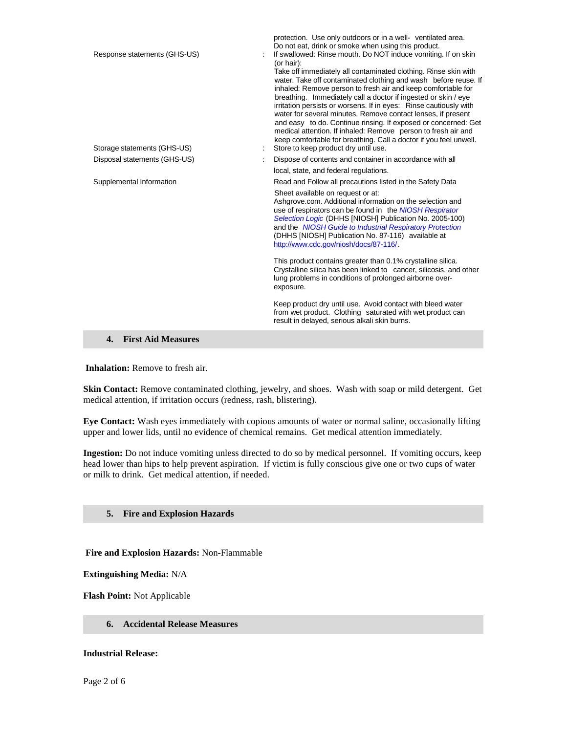| Response statements (GHS-US)<br>Storage statements (GHS-US) | protection. Use only outdoors or in a well- ventilated area.<br>Do not eat, drink or smoke when using this product.<br>If swallowed: Rinse mouth. Do NOT induce vomiting. If on skin<br>(or hair):<br>Take off immediately all contaminated clothing. Rinse skin with<br>water. Take off contaminated clothing and wash before reuse. If<br>inhaled: Remove person to fresh air and keep comfortable for<br>breathing. Immediately call a doctor if ingested or skin / eye<br>irritation persists or worsens. If in eyes: Rinse cautiously with<br>water for several minutes. Remove contact lenses, if present<br>and easy to do. Continue rinsing. If exposed or concerned: Get<br>medical attention. If inhaled: Remove person to fresh air and<br>keep comfortable for breathing. Call a doctor if you feel unwell.<br>Store to keep product dry until use. |
|-------------------------------------------------------------|-----------------------------------------------------------------------------------------------------------------------------------------------------------------------------------------------------------------------------------------------------------------------------------------------------------------------------------------------------------------------------------------------------------------------------------------------------------------------------------------------------------------------------------------------------------------------------------------------------------------------------------------------------------------------------------------------------------------------------------------------------------------------------------------------------------------------------------------------------------------|
| Disposal statements (GHS-US)                                | Dispose of contents and container in accordance with all                                                                                                                                                                                                                                                                                                                                                                                                                                                                                                                                                                                                                                                                                                                                                                                                        |
|                                                             | local, state, and federal regulations.                                                                                                                                                                                                                                                                                                                                                                                                                                                                                                                                                                                                                                                                                                                                                                                                                          |
| Supplemental Information                                    | Read and Follow all precautions listed in the Safety Data                                                                                                                                                                                                                                                                                                                                                                                                                                                                                                                                                                                                                                                                                                                                                                                                       |
|                                                             | Sheet available on request or at:<br>Ashgrove.com. Additional information on the selection and<br>use of respirators can be found in the NIOSH Respirator<br>Selection Logic (DHHS [NIOSH] Publication No. 2005-100)<br>and the NIOSH Guide to Industrial Respiratory Protection<br>(DHHS [NIOSH] Publication No. 87-116) available at<br>http://www.cdc.gov/niosh/docs/87-116/.                                                                                                                                                                                                                                                                                                                                                                                                                                                                                |
|                                                             | This product contains greater than 0.1% crystalline silica.<br>Crystalline silica has been linked to cancer, silicosis, and other<br>lung problems in conditions of prolonged airborne over-<br>exposure.                                                                                                                                                                                                                                                                                                                                                                                                                                                                                                                                                                                                                                                       |
|                                                             | Keep product dry until use. Avoid contact with bleed water<br>from wet product. Clothing saturated with wet product can<br>result in delayed, serious alkali skin burns.                                                                                                                                                                                                                                                                                                                                                                                                                                                                                                                                                                                                                                                                                        |
| <b>First Aid Measures</b><br>4.                             |                                                                                                                                                                                                                                                                                                                                                                                                                                                                                                                                                                                                                                                                                                                                                                                                                                                                 |

**Inhalation:** Remove to fresh air.

**Skin Contact:** Remove contaminated clothing, jewelry, and shoes. Wash with soap or mild detergent. Get medical attention, if irritation occurs (redness, rash, blistering).

**Eye Contact:** Wash eyes immediately with copious amounts of water or normal saline, occasionally lifting upper and lower lids, until no evidence of chemical remains. Get medical attention immediately.

**Ingestion:** Do not induce vomiting unless directed to do so by medical personnel. If vomiting occurs, keep head lower than hips to help prevent aspiration. If victim is fully conscious give one or two cups of water or milk to drink. Get medical attention, if needed.

#### **5. Fire and Explosion Hazards**

**Fire and Explosion Hazards:** Non-Flammable

**Extinguishing Media:** N/A

**Flash Point:** Not Applicable

#### **6. Accidental Release Measures**

**Industrial Release:**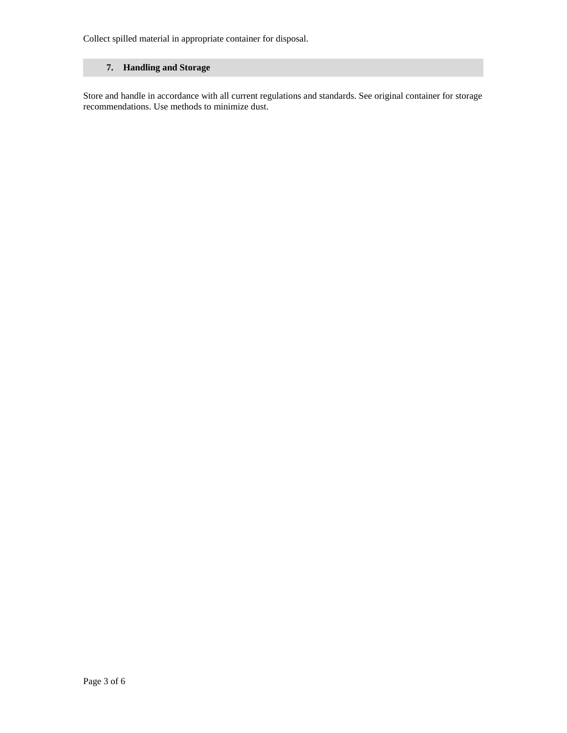Collect spilled material in appropriate container for disposal.

## **7. Handling and Storage**

Store and handle in accordance with all current regulations and standards. See original container for storage recommendations. Use methods to minimize dust.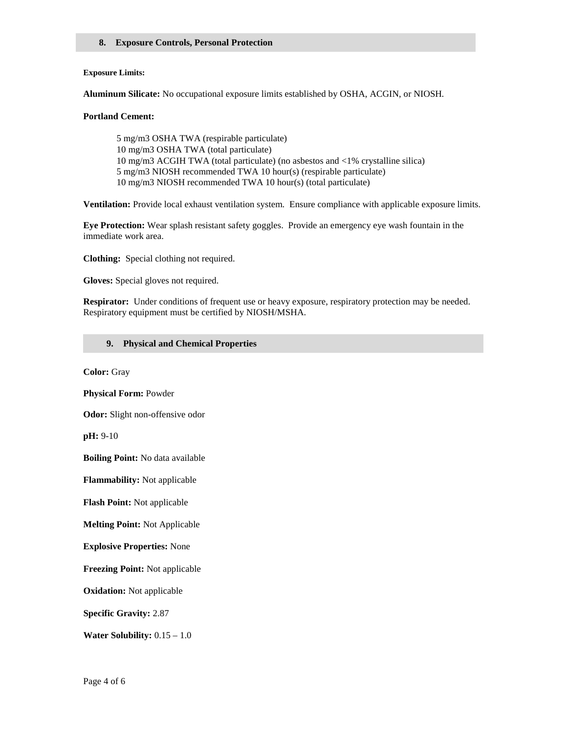#### **8. Exposure Controls, Personal Protection**

#### **Exposure Limits:**

**Aluminum Silicate:** No occupational exposure limits established by OSHA, ACGIN, or NIOSH*.*

#### **Portland Cement:**

5 mg/m3 OSHA TWA (respirable particulate) 10 mg/m3 OSHA TWA (total particulate) 10 mg/m3 ACGIH TWA (total particulate) (no asbestos and <1% crystalline silica) 5 mg/m3 NIOSH recommended TWA 10 hour(s) (respirable particulate) 10 mg/m3 NIOSH recommended TWA 10 hour(s) (total particulate)

**Ventilation:** Provide local exhaust ventilation system.Ensure compliance with applicable exposure limits.

**Eye Protection:** Wear splash resistant safety goggles. Provide an emergency eye wash fountain in the immediate work area.

**Clothing:** Special clothing not required.

**Gloves:** Special gloves not required.

**Respirator:** Under conditions of frequent use or heavy exposure, respiratory protection may be needed. Respiratory equipment must be certified by NIOSH/MSHA.

#### **9. Physical and Chemical Properties**

**Color:** Gray

**Physical Form:** Powder

**Odor:** Slight non-offensive odor

**pH:** 9-10

**Boiling Point:** No data available

**Flammability:** Not applicable

**Flash Point:** Not applicable

**Melting Point:** Not Applicable

**Explosive Properties:** None

**Freezing Point:** Not applicable

**Oxidation:** Not applicable

**Specific Gravity:** 2.87

**Water Solubility:** 0.15 – 1.0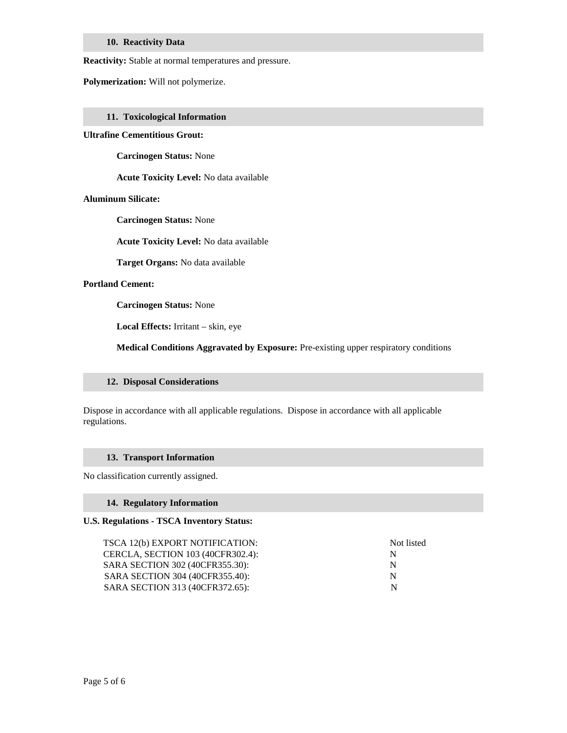#### **10. Reactivity Data**

**Reactivity:** Stable at normal temperatures and pressure.

**Polymerization:** Will not polymerize.

#### **11. Toxicological Information**

#### **Ultrafine Cementitious Grout:**

**Carcinogen Status:** None

**Acute Toxicity Level:** No data available

#### **Aluminum Silicate:**

**Carcinogen Status:** None

**Acute Toxicity Level:** No data available

**Target Organs:** No data available

#### **Portland Cement:**

**Carcinogen Status:** None

**Local Effects:** Irritant – skin, eye

**Medical Conditions Aggravated by Exposure:** Pre-existing upper respiratory conditions

#### **12. Disposal Considerations**

Dispose in accordance with all applicable regulations. Dispose in accordance with all applicable regulations.

#### **13. Transport Information**

No classification currently assigned.

#### **14. Regulatory Information**

#### **U.S. Regulations - TSCA Inventory Status:**

TSCA 12(b) EXPORT NOTIFICATION: Not listed CERCLA, SECTION 103 (40CFR302.4): N SARA SECTION 302 (40CFR355.30): N SARA SECTION 304 (40CFR355.40): N SARA SECTION 313 (40CFR372.65): N